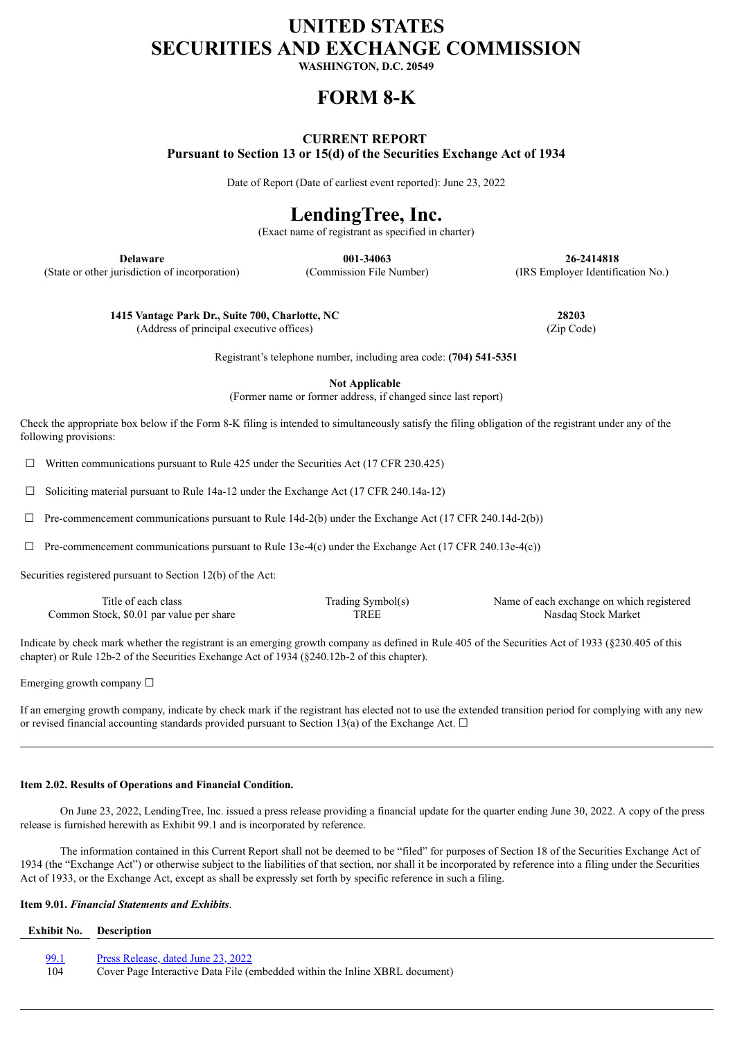# **UNITED STATES SECURITIES AND EXCHANGE COMMISSION**

**WASHINGTON, D.C. 20549**

## **FORM 8-K**

## **CURRENT REPORT Pursuant to Section 13 or 15(d) of the Securities Exchange Act of 1934**

Date of Report (Date of earliest event reported): June 23, 2022

# **LendingTree, Inc.**

(Exact name of registrant as specified in charter)

(State or other jurisdiction of incorporation) (Commission File Number) (IRS Employer Identification No.)

**Delaware 001-34063 26-2414818**

**1415 Vantage Park Dr., Suite 700, Charlotte, NC 28203** (Address of principal executive offices) (Zip Code)

Registrant's telephone number, including area code: **(704) 541-5351**

**Not Applicable**

(Former name or former address, if changed since last report)

Check the appropriate box below if the Form 8-K filing is intended to simultaneously satisfy the filing obligation of the registrant under any of the following provisions:

 $\Box$  Written communications pursuant to Rule 425 under the Securities Act (17 CFR 230.425)

☐ Soliciting material pursuant to Rule 14a-12 under the Exchange Act (17 CFR 240.14a-12)

 $\Box$  Pre-commencement communications pursuant to Rule 14d-2(b) under the Exchange Act (17 CFR 240.14d-2(b))

 $\Box$  Pre-commencement communications pursuant to Rule 13e-4(c) under the Exchange Act (17 CFR 240.13e-4(c))

Securities registered pursuant to Section 12(b) of the Act:

| Title of each class                      | Trading Symbol(s) | Name of each exchange on which registered |
|------------------------------------------|-------------------|-------------------------------------------|
| Common Stock, \$0.01 par value per share | TREE              | Nasdag Stock Market                       |

Indicate by check mark whether the registrant is an emerging growth company as defined in Rule 405 of the Securities Act of 1933 (§230.405 of this chapter) or Rule 12b-2 of the Securities Exchange Act of 1934 (§240.12b-2 of this chapter).

Emerging growth company  $\Box$ 

If an emerging growth company, indicate by check mark if the registrant has elected not to use the extended transition period for complying with any new or revised financial accounting standards provided pursuant to Section 13(a) of the Exchange Act.  $\Box$ 

### **Item 2.02. Results of Operations and Financial Condition.**

On June 23, 2022, LendingTree, Inc. issued a press release providing a financial update for the quarter ending June 30, 2022. A copy of the press release is furnished herewith as Exhibit 99.1 and is incorporated by reference.

The information contained in this Current Report shall not be deemed to be "filed" for purposes of Section 18 of the Securities Exchange Act of 1934 (the "Exchange Act") or otherwise subject to the liabilities of that section, nor shall it be incorporated by reference into a filing under the Securities Act of 1933, or the Exchange Act, except as shall be expressly set forth by specific reference in such a filing.

### **Item 9.01.** *Financial Statements and Exhibits*.

| <b>Exhibit No.</b> Description |                                                                             |
|--------------------------------|-----------------------------------------------------------------------------|
|                                |                                                                             |
| 99.1                           | Press Release, dated June 23, 2022                                          |
| 104                            | Cover Page Interactive Data File (embedded within the Inline XBRL document) |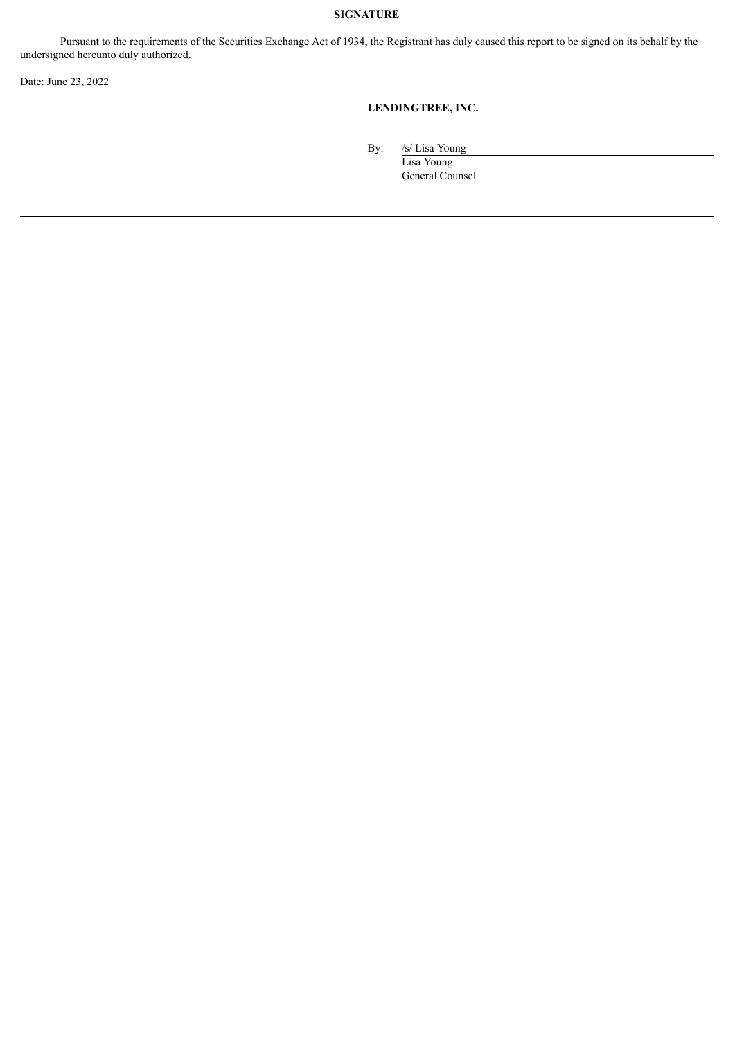## **SIGNATURE**

Pursuant to the requirements of the Securities Exchange Act of 1934, the Registrant has duly caused this report to be signed on its behalf by the undersigned hereunto duly authorized.

Date: June 23, 2022

## **LENDINGTREE, INC.**

By: /s/ Lisa Young

Lisa Young General Counsel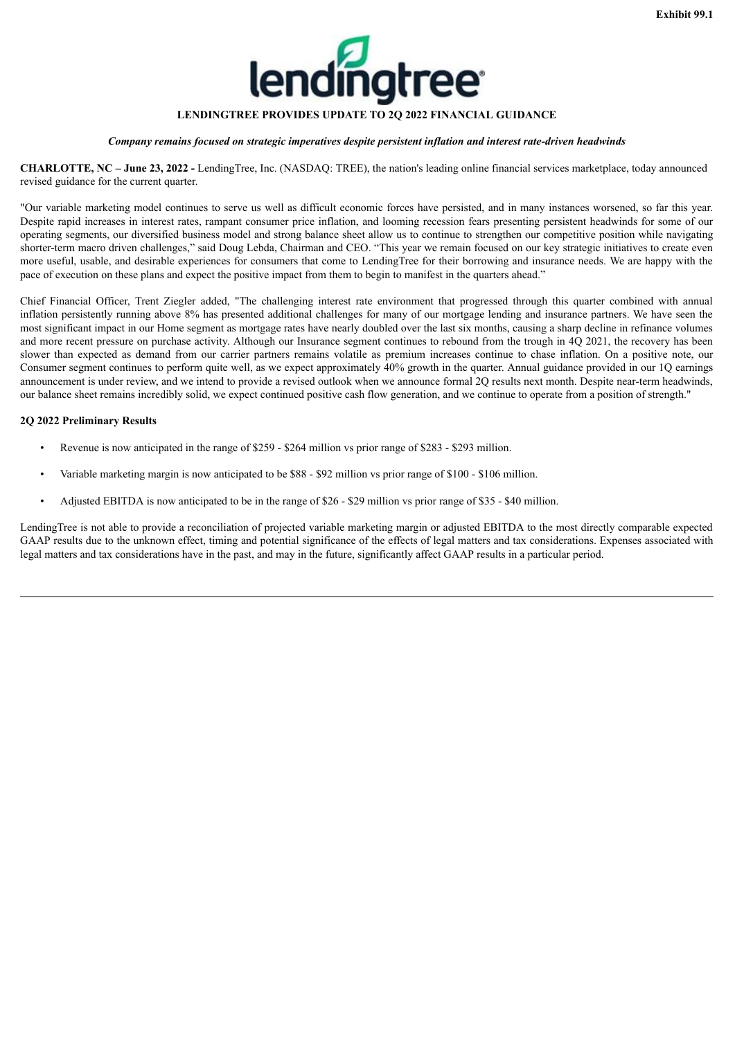

## **LENDINGTREE PROVIDES UPDATE TO 2Q 2022 FINANCIAL GUIDANCE**

### *Company remains focused on strategic imperatives despite persistent inflation and interest rate-driven headwinds*

<span id="page-2-0"></span>**CHARLOTTE, NC – June 23, 2022 -** LendingTree, Inc. (NASDAQ: TREE), the nation's leading online financial services marketplace, today announced revised guidance for the current quarter.

"Our variable marketing model continues to serve us well as difficult economic forces have persisted, and in many instances worsened, so far this year. Despite rapid increases in interest rates, rampant consumer price inflation, and looming recession fears presenting persistent headwinds for some of our operating segments, our diversified business model and strong balance sheet allow us to continue to strengthen our competitive position while navigating shorter-term macro driven challenges," said Doug Lebda, Chairman and CEO. "This year we remain focused on our key strategic initiatives to create even more useful, usable, and desirable experiences for consumers that come to LendingTree for their borrowing and insurance needs. We are happy with the pace of execution on these plans and expect the positive impact from them to begin to manifest in the quarters ahead."

Chief Financial Officer, Trent Ziegler added, "The challenging interest rate environment that progressed through this quarter combined with annual inflation persistently running above 8% has presented additional challenges for many of our mortgage lending and insurance partners. We have seen the most significant impact in our Home segment as mortgage rates have nearly doubled over the last six months, causing a sharp decline in refinance volumes and more recent pressure on purchase activity. Although our Insurance segment continues to rebound from the trough in 4Q 2021, the recovery has been slower than expected as demand from our carrier partners remains volatile as premium increases continue to chase inflation. On a positive note, our Consumer segment continues to perform quite well, as we expect approximately 40% growth in the quarter. Annual guidance provided in our 1Q earnings announcement is under review, and we intend to provide a revised outlook when we announce formal 2Q results next month. Despite near-term headwinds, our balance sheet remains incredibly solid, we expect continued positive cash flow generation, and we continue to operate from a position of strength."

### **2Q 2022 Preliminary Results**

- Revenue is now anticipated in the range of \$259 \$264 million vs prior range of \$283 \$293 million.
- Variable marketing margin is now anticipated to be \$88 \$92 million vs prior range of \$100 \$106 million.
- Adjusted EBITDA is now anticipated to be in the range of \$26 \$29 million vs prior range of \$35 \$40 million.

LendingTree is not able to provide a reconciliation of projected variable marketing margin or adjusted EBITDA to the most directly comparable expected GAAP results due to the unknown effect, timing and potential significance of the effects of legal matters and tax considerations. Expenses associated with legal matters and tax considerations have in the past, and may in the future, significantly affect GAAP results in a particular period.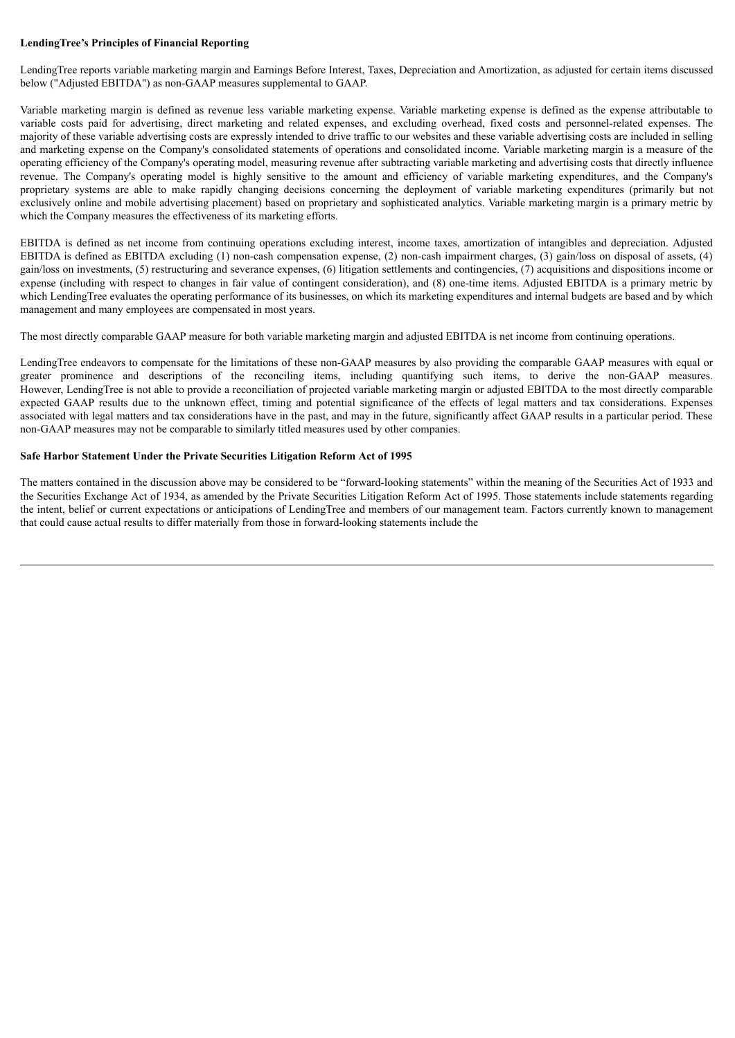## **LendingTree's Principles of Financial Reporting**

LendingTree reports variable marketing margin and Earnings Before Interest, Taxes, Depreciation and Amortization, as adjusted for certain items discussed below ("Adjusted EBITDA") as non-GAAP measures supplemental to GAAP.

Variable marketing margin is defined as revenue less variable marketing expense. Variable marketing expense is defined as the expense attributable to variable costs paid for advertising, direct marketing and related expenses, and excluding overhead, fixed costs and personnel-related expenses. The majority of these variable advertising costs are expressly intended to drive traffic to our websites and these variable advertising costs are included in selling and marketing expense on the Company's consolidated statements of operations and consolidated income. Variable marketing margin is a measure of the operating efficiency of the Company's operating model, measuring revenue after subtracting variable marketing and advertising costs that directly influence revenue. The Company's operating model is highly sensitive to the amount and efficiency of variable marketing expenditures, and the Company's proprietary systems are able to make rapidly changing decisions concerning the deployment of variable marketing expenditures (primarily but not exclusively online and mobile advertising placement) based on proprietary and sophisticated analytics. Variable marketing margin is a primary metric by which the Company measures the effectiveness of its marketing efforts.

EBITDA is defined as net income from continuing operations excluding interest, income taxes, amortization of intangibles and depreciation. Adjusted EBITDA is defined as EBITDA excluding (1) non-cash compensation expense, (2) non-cash impairment charges, (3) gain/loss on disposal of assets, (4) gain/loss on investments, (5) restructuring and severance expenses, (6) litigation settlements and contingencies, (7) acquisitions and dispositions income or expense (including with respect to changes in fair value of contingent consideration), and (8) one-time items. Adjusted EBITDA is a primary metric by which LendingTree evaluates the operating performance of its businesses, on which its marketing expenditures and internal budgets are based and by which management and many employees are compensated in most years.

The most directly comparable GAAP measure for both variable marketing margin and adjusted EBITDA is net income from continuing operations.

LendingTree endeavors to compensate for the limitations of these non-GAAP measures by also providing the comparable GAAP measures with equal or greater prominence and descriptions of the reconciling items, including quantifying such items, to derive the non-GAAP measures. However, LendingTree is not able to provide a reconciliation of projected variable marketing margin or adjusted EBITDA to the most directly comparable expected GAAP results due to the unknown effect, timing and potential significance of the effects of legal matters and tax considerations. Expenses associated with legal matters and tax considerations have in the past, and may in the future, significantly affect GAAP results in a particular period. These non-GAAP measures may not be comparable to similarly titled measures used by other companies.

### **Safe Harbor Statement Under the Private Securities Litigation Reform Act of 1995**

The matters contained in the discussion above may be considered to be "forward-looking statements" within the meaning of the Securities Act of 1933 and the Securities Exchange Act of 1934, as amended by the Private Securities Litigation Reform Act of 1995. Those statements include statements regarding the intent, belief or current expectations or anticipations of LendingTree and members of our management team. Factors currently known to management that could cause actual results to differ materially from those in forward-looking statements include the